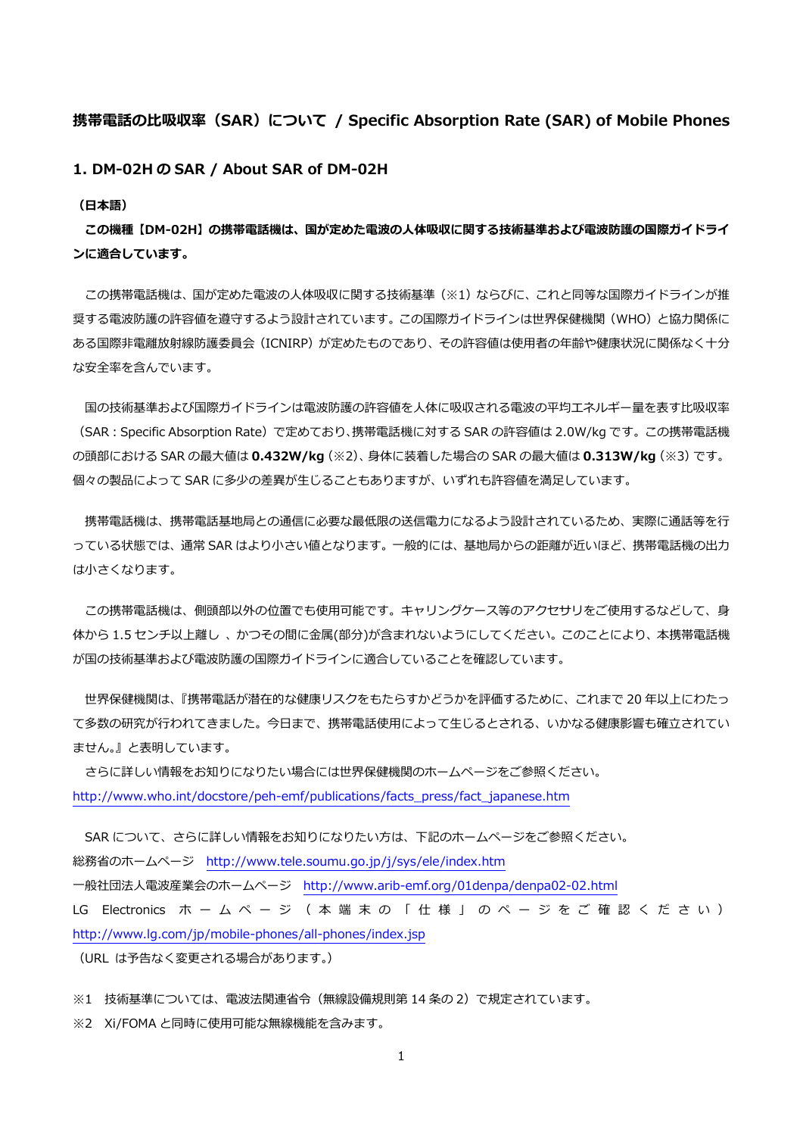## **携帯電話の⽐吸収率(SAR)について / Specific Absorption Rate (SAR) of Mobile Phones**

**1. DM-02H の SAR / About SAR of DM-02H** 

**(⽇本語)** 

**この機種【DM-02H】の携帯電話機は、国が定めた電波の⼈体吸収に関する技術基準および電波防護の国際ガイドライ ンに適合しています。** 

この携帯電話機は、国が定めた電波の人体吸収に関する技術基準(※1)ならびに、これと同等な国際ガイドラインが推 奨する電波防護の許容値を遵守するよう設計されています。この国際ガイドラインは世界保健機関(WHO)と協力関係に ある国際非電離放射線防護委員会 (ICNIRP) が定めたものであり、その許容値は使用者の年齢や健康状況に関係なく十分 な安全率を含んでいます。

国の技術基準および国際ガイドラインは電波防護の許容値を人体に吸収される電波の平均エネルギー量を表す比吸収率 (SAR:Specific Absorption Rate)で定めており、携帯電話機に対する SAR の許容値は 2.0W/kg です。この携帯電話機 の頭部における SAR の最⼤値は **0.432W/kg**(※2)、⾝体に装着した場合の SAR の最⼤値は **0.313W/kg**(※3)です。 個々の製品によって SAR に多少の差異が⽣じることもありますが、いずれも許容値を満⾜しています。

携帯電話機は、携帯電話基地局との通信に必要な最低限の送信電力になるよう設計されているため、実際に通話等を行 っている状態では、通常 SAR はより小さい値となります。一般的には、基地局からの距離が近いほど、携帯電話機の出力 は⼩さくなります。

この携帯電話機は、側頭部以外の位置でも使用可能です。キャリングケース等のアクセサリをご使用するなどして、身 体から 1.5 センチ以上離し、かつその間に金属(部分)が含まれないようにしてください。このことにより、本携帯電話機 が国の技術基準および電波防護の国際ガイドラインに適合していることを確認しています。

 世界保健機関は、『携帯電話が潜在的な健康リスクをもたらすかどうかを評価するために、これまで 20 年以上にわたっ て多数の研究が⾏われてきました。今⽇まで、携帯電話使⽤によって⽣じるとされる、いかなる健康影響も確⽴されてい ません。』と表明しています。

 さらに詳しい情報をお知りになりたい場合には世界保健機関のホームページをご参照ください。 http://www.who.int/docstore/peh-emf/publications/facts\_press/fact\_japanese.htm

SAR について、さらに詳しい情報をお知りになりたい方は、下記のホームページをご参照ください。 総務省のホームページ http://www.tele.soumu.go.jp/j/sys/ele/index.htm ⼀般社団法⼈電波産業会のホームページ http://www.arib-emf.org/01denpa/denpa02-02.html LG Electronics ホ ー ム ペ ー ジ ( 本 端 末 の 「 仕 様 」 の ペ ー ジ を ご 確 認 く だ さ い ) http://www.lg.com/jp/mobile-phones/all-phones/index.jsp

(URL は予告なく変更される場合があります。)

※1 技術基準については、電波法関連省令(無線設備規則第 14 条の 2)で規定されています。

※2 Xi/FOMA と同時に使用可能な無線機能を含みます。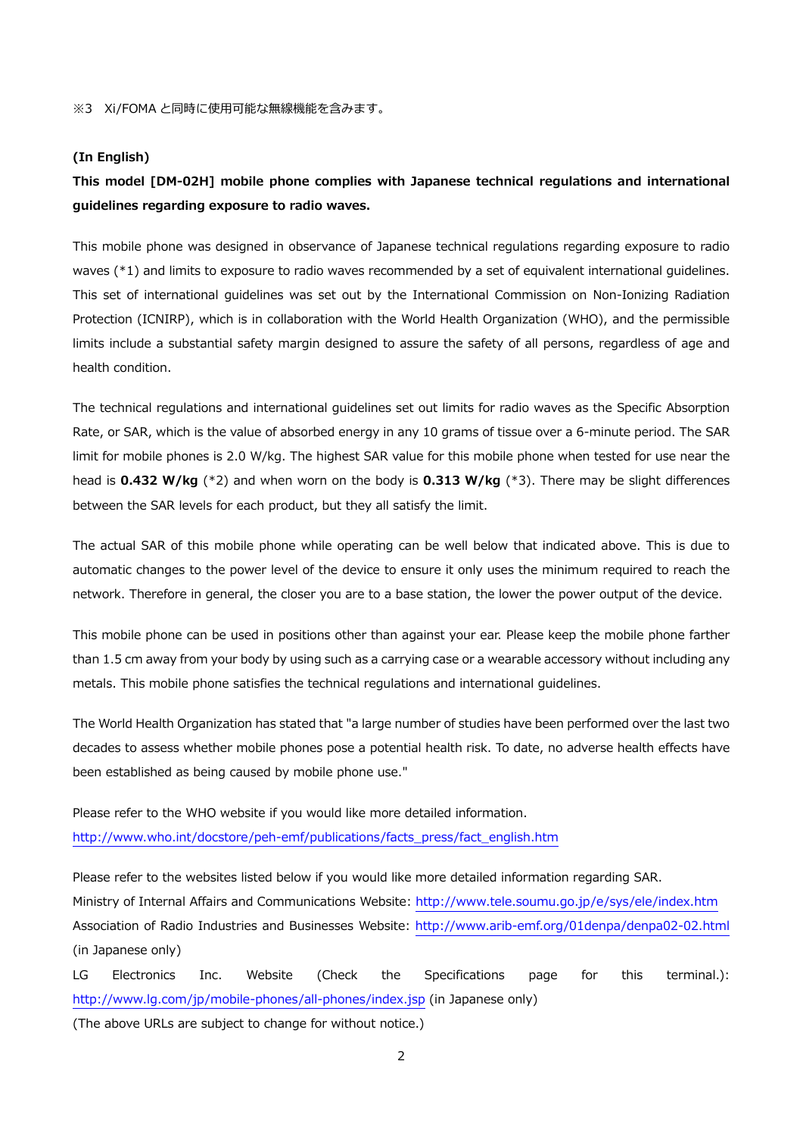#### **(In English)**

# **This model [DM-02H] mobile phone complies with Japanese technical regulations and international guidelines regarding exposure to radio waves.**

This mobile phone was designed in observance of Japanese technical regulations regarding exposure to radio waves (\*1) and limits to exposure to radio waves recommended by a set of equivalent international guidelines. This set of international guidelines was set out by the International Commission on Non-Ionizing Radiation Protection (ICNIRP), which is in collaboration with the World Health Organization (WHO), and the permissible limits include a substantial safety margin designed to assure the safety of all persons, regardless of age and health condition.

The technical regulations and international guidelines set out limits for radio waves as the Specific Absorption Rate, or SAR, which is the value of absorbed energy in any 10 grams of tissue over a 6-minute period. The SAR limit for mobile phones is 2.0 W/kg. The highest SAR value for this mobile phone when tested for use near the head is **0.432 W/kg** (\*2) and when worn on the body is **0.313 W/kg** (\*3). There may be slight differences between the SAR levels for each product, but they all satisfy the limit.

The actual SAR of this mobile phone while operating can be well below that indicated above. This is due to automatic changes to the power level of the device to ensure it only uses the minimum required to reach the network. Therefore in general, the closer you are to a base station, the lower the power output of the device.

This mobile phone can be used in positions other than against your ear. Please keep the mobile phone farther than 1.5 cm away from your body by using such as a carrying case or a wearable accessory without including any metals. This mobile phone satisfies the technical regulations and international guidelines.

The World Health Organization has stated that "a large number of studies have been performed over the last two decades to assess whether mobile phones pose a potential health risk. To date, no adverse health effects have been established as being caused by mobile phone use."

Please refer to the WHO website if you would like more detailed information. http://www.who.int/docstore/peh-emf/publications/facts\_press/fact\_english.htm

Please refer to the websites listed below if you would like more detailed information regarding SAR. Ministry of Internal Affairs and Communications Website: http://www.tele.soumu.go.jp/e/sys/ele/index.htm Association of Radio Industries and Businesses Website: http://www.arib-emf.org/01denpa/denpa02-02.html (in Japanese only)

LG Electronics Inc. Website (Check the Specifications page for this terminal.): http://www.lg.com/jp/mobile-phones/all-phones/index.jsp (in Japanese only)

(The above URLs are subject to change for without notice.)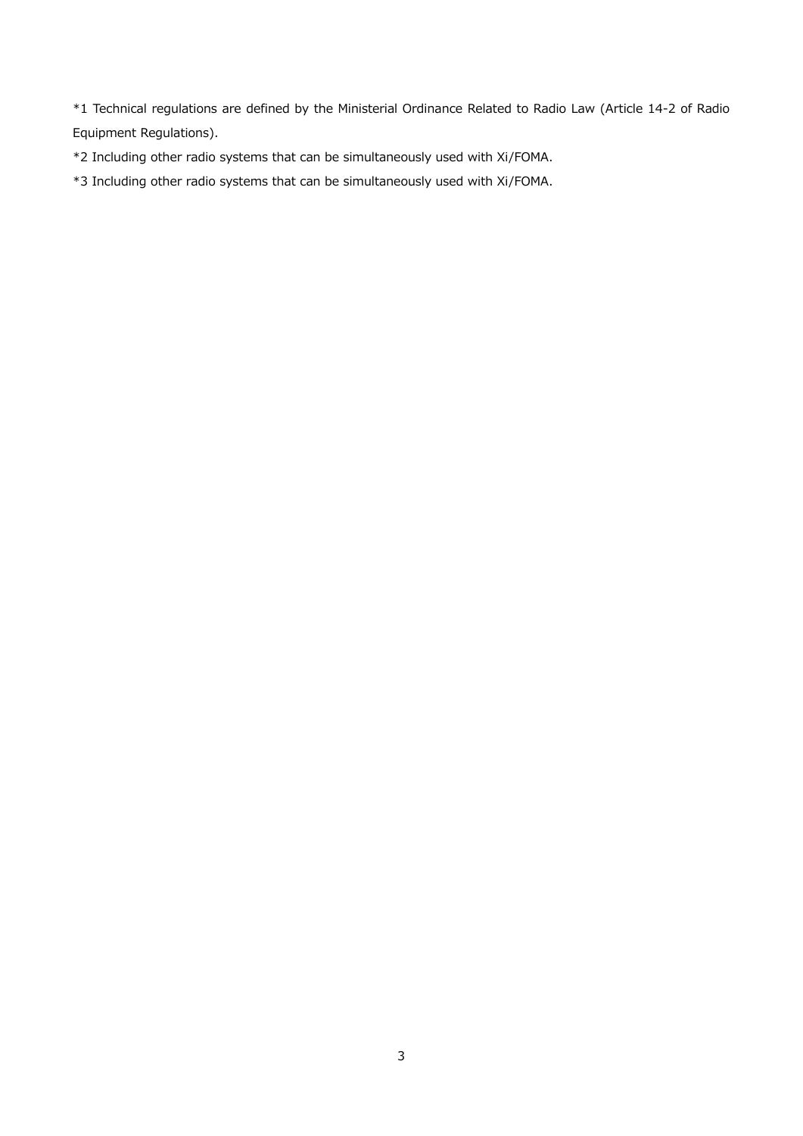\*1 Technical regulations are defined by the Ministerial Ordinance Related to Radio Law (Article 14-2 of Radio Equipment Regulations).

\*2 Including other radio systems that can be simultaneously used with Xi/FOMA.

\*3 Including other radio systems that can be simultaneously used with Xi/FOMA.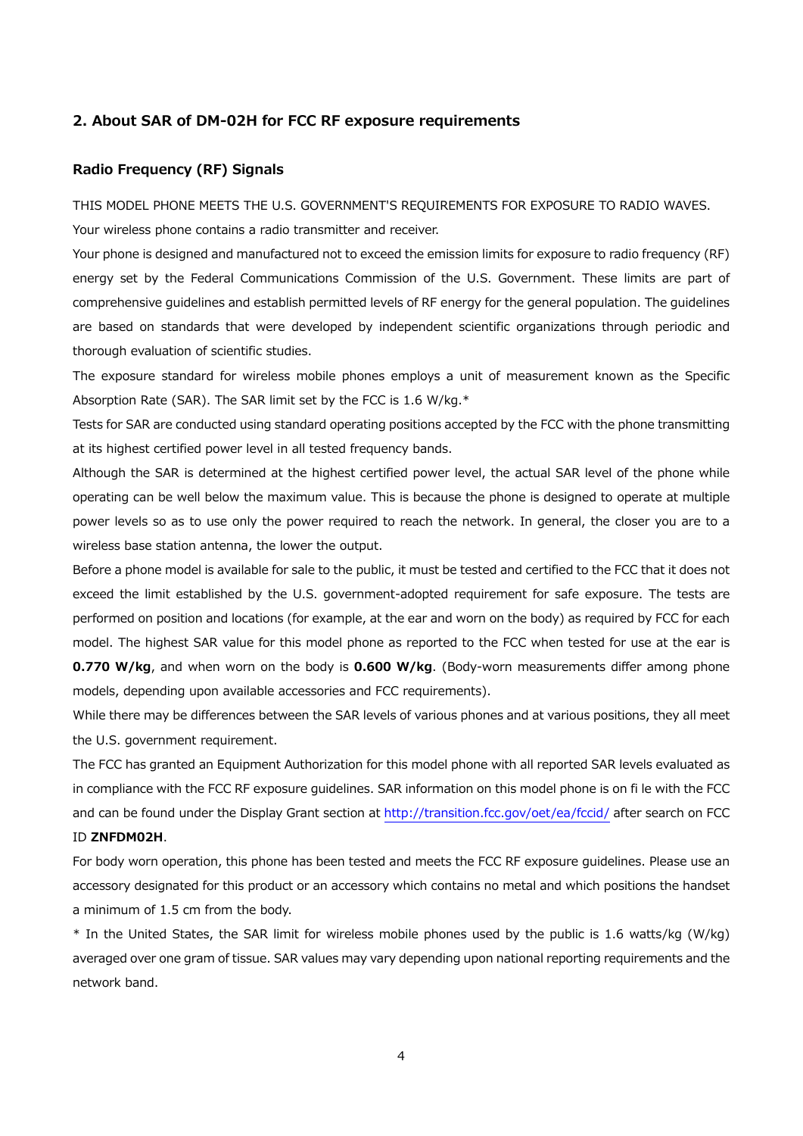#### **2. About SAR of DM-02H for FCC RF exposure requirements**

### **Radio Frequency (RF) Signals**

THIS MODEL PHONE MEETS THE U.S. GOVERNMENT'S REQUIREMENTS FOR EXPOSURE TO RADIO WAVES.

Your wireless phone contains a radio transmitter and receiver.

Your phone is designed and manufactured not to exceed the emission limits for exposure to radio frequency (RF) energy set by the Federal Communications Commission of the U.S. Government. These limits are part of comprehensive guidelines and establish permitted levels of RF energy for the general population. The guidelines are based on standards that were developed by independent scientific organizations through periodic and thorough evaluation of scientific studies.

The exposure standard for wireless mobile phones employs a unit of measurement known as the Specific Absorption Rate (SAR). The SAR limit set by the FCC is 1.6 W/kg.\*

Tests for SAR are conducted using standard operating positions accepted by the FCC with the phone transmitting at its highest certified power level in all tested frequency bands.

Although the SAR is determined at the highest certified power level, the actual SAR level of the phone while operating can be well below the maximum value. This is because the phone is designed to operate at multiple power levels so as to use only the power required to reach the network. In general, the closer you are to a wireless base station antenna, the lower the output.

Before a phone model is available for sale to the public, it must be tested and certified to the FCC that it does not exceed the limit established by the U.S. government-adopted requirement for safe exposure. The tests are performed on position and locations (for example, at the ear and worn on the body) as required by FCC for each model. The highest SAR value for this model phone as reported to the FCC when tested for use at the ear is **0.770 W/kg**, and when worn on the body is **0.600 W/kg**. (Body-worn measurements differ among phone models, depending upon available accessories and FCC requirements).

While there may be differences between the SAR levels of various phones and at various positions, they all meet the U.S. government requirement.

The FCC has granted an Equipment Authorization for this model phone with all reported SAR levels evaluated as in compliance with the FCC RF exposure guidelines. SAR information on this model phone is on fi le with the FCC and can be found under the Display Grant section at http://transition.fcc.gov/oet/ea/fccid/ after search on FCC ID **ZNFDM02H**.

For body worn operation, this phone has been tested and meets the FCC RF exposure guidelines. Please use an accessory designated for this product or an accessory which contains no metal and which positions the handset a minimum of 1.5 cm from the body.

\* In the United States, the SAR limit for wireless mobile phones used by the public is 1.6 watts/kg (W/kg) averaged over one gram of tissue. SAR values may vary depending upon national reporting requirements and the network band.